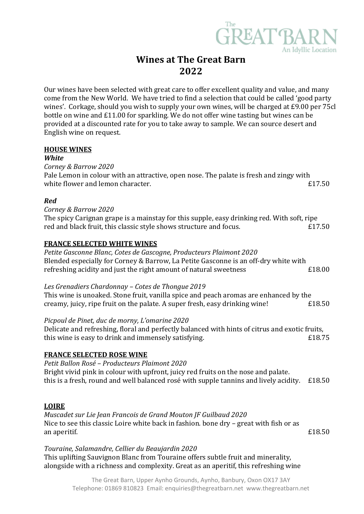

# **Wines at The Great Barn 2022**

Our wines have been selected with great care to offer excellent quality and value, and many come from the New World. We have tried to find a selection that could be called 'good party wines'. Corkage, should you wish to supply your own wines, will be charged at £9.00 per 75cl bottle on wine and £11.00 for sparkling. We do not offer wine tasting but wines can be provided at a discounted rate for you to take away to sample. We can source desert and English wine on request.

#### **HOUSE WINES**

#### *White*

*Corney & Barrow 2020*

Pale Lemon in colour with an attractive, open nose. The palate is fresh and zingy with white flower and lemon character. **Example 20** is the set of the set of the set of the set of the set of the set of the set of the set of the set of the set of the set of the set of the set of the set of the set of the set

# *Red*

*Corney & Barrow 2020*

The spicy Carignan grape is a mainstay for this supple, easy drinking red. With soft, ripe red and black fruit, this classic style shows structure and focus.  $£17.50$ 

# **FRANCE SELECTED WHITE WINES**

*Petite Gasconne Blanc, Cotes de Gascogne, Producteurs Plaimont 2020* Blended especially for Corney & Barrow, La Petite Gasconne is an off-dry white with refreshing acidity and just the right amount of natural sweetness  $£18.00$ 

#### *Les Grenadiers Chardonnay – Cotes de Thongue 2019*

This wine is unoaked. Stone fruit, vanilla spice and peach aromas are enhanced by the creamy, juicy, ripe fruit on the palate. A super fresh, easy drinking wine! £18.50

# *Picpoul de Pinet, duc de morny, L'omarine 2020*

Delicate and refreshing, floral and perfectly balanced with hints of citrus and exotic fruits, this wine is easy to drink and immensely satisfying.  $£18.75$ 

#### **FRANCE SELECTED ROSE WINE**

*Petit Ballon Rosé – Producteurs Plaimont 2020* Bright vivid pink in colour with upfront, juicy red fruits on the nose and palate. this is a fresh, round and well balanced rosé with supple tannins and lively acidity. £18.50

# **LOIRE**

*Muscadet sur Lie Jean Francois de Grand Mouton JF Guilbaud 2020* Nice to see this classic Loire white back in fashion. bone dry – great with fish or as an aperitif. **Example 20** Equation 2 and 2 and 2 and 2 and 2 and 2 and 2 and 2 and 2 and 2 and 2 and 2 and 2 and 2 and 2 and 2 and 2 and 2 and 2 and 2 and 2 and 2 and 2 and 2 and 2 and 2 and 2 and 2 and 2 and 2 and 2 and 2

# *Touraine, Salamandre, Cellier du Beaujardin 2020* This uplifting Sauvignon Blanc from Touraine offers subtle fruit and minerality, alongside with a richness and complexity. Great as an aperitif, this refreshing wine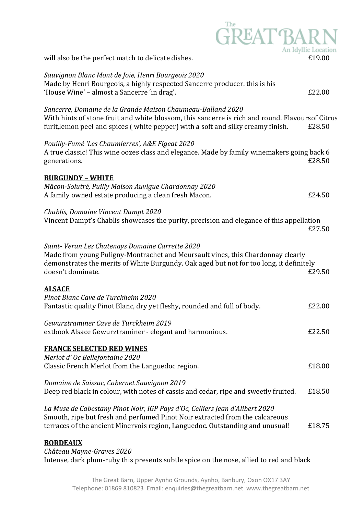| <b>GREAT BARN</b>                                                                                                                                                                                                                                  | An Idyllic Location |
|----------------------------------------------------------------------------------------------------------------------------------------------------------------------------------------------------------------------------------------------------|---------------------|
| will also be the perfect match to delicate dishes.                                                                                                                                                                                                 | £19.00              |
| Sauvignon Blanc Mont de Joie, Henri Bourgeois 2020<br>Made by Henri Bourgeois, a highly respected Sancerre producer. this is his<br>'House Wine' - almost a Sancerre 'in drag'.                                                                    | £22.00              |
| Sancerre, Domaine de la Grande Maison Chaumeau-Balland 2020<br>With hints of stone fruit and white blossom, this sancerre is rich and round. Flavoursof Citrus<br>furit, lemon peel and spices (white pepper) with a soft and silky creamy finish. | £28.50              |
| Pouilly-Fumé 'Les Chaumierres', A&E Figeat 2020<br>A true classic! This wine oozes class and elegance. Made by family winemakers going back 6<br>generations.                                                                                      | £28.50              |
| <b>BURGUNDY - WHITE</b>                                                                                                                                                                                                                            |                     |
| Mâcon-Solutré, Puilly Maison Auvigue Chardonnay 2020<br>A family owned estate producing a clean fresh Macon.                                                                                                                                       | £24.50              |
| Chablis, Domaine Vincent Dampt 2020<br>Vincent Dampt's Chablis showcases the purity, precision and elegance of this appellation                                                                                                                    | £27.50              |
| Saint-Veran Les Chatenays Domaine Carrette 2020<br>Made from young Puligny-Montrachet and Meursault vines, this Chardonnay clearly<br>demonstrates the merits of White Burgundy. Oak aged but not for too long, it definitely<br>doesn't dominate. | £29.50              |
| <u>ALSACE</u><br>Pinot Blanc Cave de Turckheim 2020<br>Fantastic quality Pinot Blanc, dry yet fleshy, rounded and full of body.                                                                                                                    | £22.00              |
| Gewurztraminer Cave de Turckheim 2019<br>extbook Alsace Gewurztraminer - elegant and harmonious.                                                                                                                                                   | £22.50              |
| <b>FRANCE SELECTED RED WINES</b>                                                                                                                                                                                                                   |                     |
| Merlot d'Oc Bellefontaine 2020<br>Classic French Merlot from the Languedoc region.                                                                                                                                                                 | £18.00              |
| Domaine de Saissac, Cabernet Sauvignon 2019<br>Deep red black in colour, with notes of cassis and cedar, ripe and sweetly fruited.                                                                                                                 | £18.50              |
| La Muse de Cabestany Pinot Noir, IGP Pays d'Oc, Celliers Jean d'Alibert 2020<br>Smooth, ripe but fresh and perfumed Pinot Noir extracted from the calcareous<br>terraces of the ancient Minervois region, Languedoc. Outstanding and unusual!      | £18.75              |
| <b>BORDEAUX</b>                                                                                                                                                                                                                                    |                     |

*Château Mayne-Graves 2020*

Intense, dark plum-ruby this presents subtle spice on the nose, allied to red and black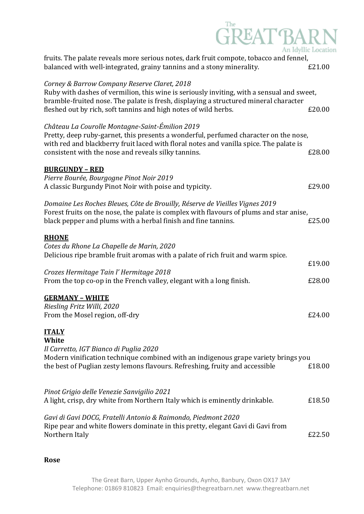| <b>GREAT BAR</b>                                                                                                                                                                                                                                                                                     | An Idyllic Location |
|------------------------------------------------------------------------------------------------------------------------------------------------------------------------------------------------------------------------------------------------------------------------------------------------------|---------------------|
| fruits. The palate reveals more serious notes, dark fruit compote, tobacco and fennel,<br>balanced with well-integrated, grainy tannins and a stony minerality.                                                                                                                                      | £21.00              |
| Corney & Barrow Company Reserve Claret, 2018<br>Ruby with dashes of vermilion, this wine is seriously inviting, with a sensual and sweet,<br>bramble-fruited nose. The palate is fresh, displaying a structured mineral character<br>fleshed out by rich, soft tannins and high notes of wild herbs. | £20.00              |
| Château La Courolle Montagne-Saint-Émilion 2019<br>Pretty, deep ruby-garnet, this presents a wonderful, perfumed character on the nose,<br>with red and blackberry fruit laced with floral notes and vanilla spice. The palate is<br>consistent with the nose and reveals silky tannins.             | £28.00              |
| <b>BURGUNDY - RED</b><br>Pierre Bourée, Bourgogne Pinot Noir 2019<br>A classic Burgundy Pinot Noir with poise and typicity.                                                                                                                                                                          | £29.00              |
| Domaine Les Roches Bleues, Côte de Brouilly, Réserve de Vieilles Vignes 2019<br>Forest fruits on the nose, the palate is complex with flavours of plums and star anise,<br>black pepper and plums with a herbal finish and fine tannins.                                                             | £25.00              |
| <b>RHONE</b><br>Cotes du Rhone La Chapelle de Marin, 2020<br>Delicious ripe bramble fruit aromas with a palate of rich fruit and warm spice.                                                                                                                                                         |                     |
| Crozes Hermitage Tain l'Hermitage 2018<br>From the top co-op in the French valley, elegant with a long finish.                                                                                                                                                                                       | £19.00<br>£28.00    |
| <b>GERMANY - WHITE</b><br>Riesling Fritz Willi, 2020<br>From the Mosel region, off-dry                                                                                                                                                                                                               | £24.00              |
| <b>ITALY</b><br>White<br>Il Carretto, IGT Bianco di Puglia 2020<br>Modern vinification technique combined with an indigenous grape variety brings you<br>the best of Puglian zesty lemons flavours. Refreshing, fruity and accessible                                                                | £18.00              |
| Pinot Grigio delle Venezie Sanvigilio 2021<br>A light, crisp, dry white from Northern Italy which is eminently drinkable.                                                                                                                                                                            | £18.50              |
| Gavi di Gavi DOCG, Fratelli Antonio & Raimondo, Piedmont 2020<br>Ripe pear and white flowers dominate in this pretty, elegant Gavi di Gavi from<br>Northern Italy                                                                                                                                    | £22.50              |

**Rose**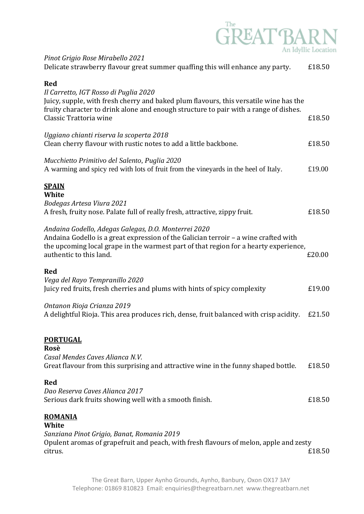

| Pinot Grigio Rose Mirabello 2021<br>Delicate strawberry flavour great summer quaffing this will enhance any party.                                                                                                                                             | £18.50 |
|----------------------------------------------------------------------------------------------------------------------------------------------------------------------------------------------------------------------------------------------------------------|--------|
| <b>Red</b><br>Il Carretto, IGT Rosso di Puglia 2020<br>Juicy, supple, with fresh cherry and baked plum flavours, this versatile wine has the<br>fruity character to drink alone and enough structure to pair with a range of dishes.<br>Classic Trattoria wine | £18.50 |
| Uggiano chianti riserva la scoperta 2018<br>Clean cherry flavour with rustic notes to add a little backbone.                                                                                                                                                   | £18.50 |
| Mucchietto Primitivo del Salento, Puglia 2020<br>A warming and spicy red with lots of fruit from the vineyards in the heel of Italy.                                                                                                                           | £19.00 |
| <b>SPAIN</b><br>White<br>Bodegas Artesa Viura 2021<br>A fresh, fruity nose. Palate full of really fresh, attractive, zippy fruit.                                                                                                                              | £18.50 |
| Andaina Godello, Adegas Galegas, D.O. Monterrei 2020<br>Andaina Godello is a great expression of the Galician terroir - a wine crafted with<br>the upcoming local grape in the warmest part of that region for a hearty experience,<br>authentic to this land. | £20.00 |
| <b>Red</b><br>Vega del Rayo Tempranillo 2020<br>Juicy red fruits, fresh cherries and plums with hints of spicy complexity                                                                                                                                      | £19.00 |
| Ontanon Rioja Crianza 2019<br>A delightful Rioja. This area produces rich, dense, fruit balanced with crisp acidity.                                                                                                                                           | £21.50 |
| <b>PORTUGAL</b><br>Rosè<br>Casal Mendes Caves Alianca N.V.<br>Great flavour from this surprising and attractive wine in the funny shaped bottle.                                                                                                               | £18.50 |
| <b>Red</b><br>Dao Reserva Caves Alianca 2017<br>Serious dark fruits showing well with a smooth finish.                                                                                                                                                         | £18.50 |
| <b>ROMANIA</b><br>White<br>Sanziana Pinot Grigio, Banat, Romania 2019<br>Opulent aromas of grapefruit and peach, with fresh flavours of melon, apple and zesty<br>citrus.                                                                                      | £18.50 |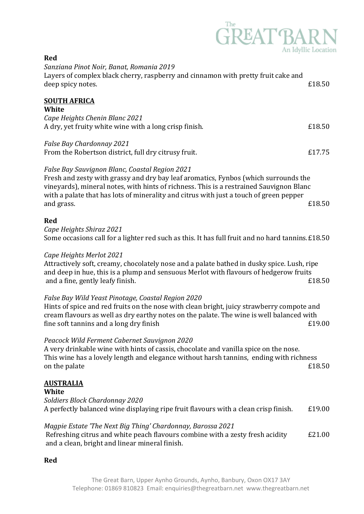# $\widehat{\text{GREAT}}^\text{The}_{\text{An Idyllic I}}$ An Idyllic Location

| <b>Red</b>                                                                                                                                                                                                                                                                                                                               |        |
|------------------------------------------------------------------------------------------------------------------------------------------------------------------------------------------------------------------------------------------------------------------------------------------------------------------------------------------|--------|
| Sanziana Pinot Noir, Banat, Romania 2019<br>Layers of complex black cherry, raspberry and cinnamon with pretty fruit cake and<br>deep spicy notes.                                                                                                                                                                                       | £18.50 |
| <b>SOUTH AFRICA</b><br>White                                                                                                                                                                                                                                                                                                             |        |
| Cape Heights Chenin Blanc 2021<br>A dry, yet fruity white wine with a long crisp finish.                                                                                                                                                                                                                                                 | £18.50 |
| False Bay Chardonnay 2021<br>From the Robertson district, full dry citrusy fruit.                                                                                                                                                                                                                                                        | £17.75 |
| False Bay Sauvignon Blanc, Coastal Region 2021<br>Fresh and zesty with grassy and dry bay leaf aromatics, Fynbos (which surrounds the<br>vineyards), mineral notes, with hints of richness. This is a restrained Sauvignon Blanc<br>with a palate that has lots of minerality and citrus with just a touch of green pepper<br>and grass. | £18.50 |
| <b>Red</b><br>Cape Heights Shiraz 2021<br>Some occasions call for a lighter red such as this. It has full fruit and no hard tannins. £18.50                                                                                                                                                                                              |        |
| Cape Heights Merlot 2021<br>Attractively soft, creamy, chocolately nose and a palate bathed in dusky spice. Lush, ripe<br>and deep in hue, this is a plump and sensuous Merlot with flavours of hedgerow fruits<br>and a fine, gently leafy finish.                                                                                      | £18.50 |
| False Bay Wild Yeast Pinotage, Coastal Region 2020<br>Hints of spice and red fruits on the nose with clean bright, juicy strawberry compote and<br>cream flavours as well as dry earthy notes on the palate. The wine is well balanced with<br>fine soft tannins and a long dry finish                                                   | £19.00 |
| Peacock Wild Ferment Cabernet Sauvignon 2020<br>A very drinkable wine with hints of cassis, chocolate and vanilla spice on the nose.<br>This wine has a lovely length and elegance without harsh tannins, ending with richness<br>on the palate                                                                                          | £18.50 |
| <b>AUSTRALIA</b><br>White                                                                                                                                                                                                                                                                                                                |        |
| Soldiers Block Chardonnay 2020<br>A perfectly balanced wine displaying ripe fruit flavours with a clean crisp finish.                                                                                                                                                                                                                    | £19.00 |
| Magpie Estate 'The Next Big Thing' Chardonnay, Barossa 2021<br>Refreshing citrus and white peach flavours combine with a zesty fresh acidity<br>and a clean, bright and linear mineral finish.                                                                                                                                           | £21.00 |
| <b>Red</b>                                                                                                                                                                                                                                                                                                                               |        |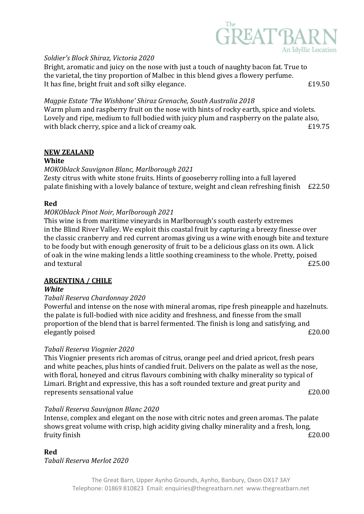

#### *Soldier's Block Shiraz, Victoria 2020*

Bright, aromatic and juicy on the nose with just a touch of naughty bacon fat. True to the varietal, the tiny proportion of Malbec in this blend gives a flowery perfume. It has fine, bright fruit and soft silky elegance.  $\epsilon$  19.50

*Magpie Estate 'The Wishbone' Shiraz Grenache, South Australia 2018*

Warm plum and raspberry fruit on the nose with hints of rocky earth, spice and violets. Lovely and ripe, medium to full bodied with juicy plum and raspberry on the palate also, with black cherry, spice and a lick of creamy oak.  $\epsilon$  19.75

#### **NEW ZEALAND**

#### **White**

#### *MOKOblack Sauvignon Blanc, Marlborough 2021*

Zesty citrus with white stone fruits. Hints of gooseberry rolling into a full layered palate finishing with a lovely balance of texture, weight and clean refreshing finish £22.50

#### **Red**

#### *MOKOblack Pinot Noir, Marlborough 2021*

This wine is from maritime vineyards in Marlborough's south easterly extremes in the Blind River Valley. We exploit this coastal fruit by capturing a breezy finesse over the classic cranberry and red current aromas giving us a wine with enough bite and texture to be foody but with enough generosity of fruit to be a delicious glass on its own. A lick of oak in the wine making lends a little soothing creaminess to the whole. Pretty, poised and textural  $E25.00$ 

# **ARGENTINA / CHILE**

#### *White*

#### *Tabalí Reserva Chardonnay 2020*

Powerful and intense on the nose with mineral aromas, ripe fresh pineapple and hazelnuts. the palate is full-bodied with nice acidity and freshness, and finesse from the small proportion of the blend that is barrel fermented. The finish is long and satisfying, and elegantly poised  $E20.00$ 

#### *Tabalí Reserva Viognier 2020*

This Viognier presents rich aromas of citrus, orange peel and dried apricot, fresh pears and white peaches, plus hints of candied fruit. Delivers on the palate as well as the nose, with floral, honeyed and citrus flavours combining with chalky minerality so typical of Limari. Bright and expressive, this has a soft rounded texture and great purity and represents sensational value  $\epsilon$  20.00

#### *Tabalí Reserva Sauvignon Blanc 2020*

Intense, complex and elegant on the nose with citric notes and green aromas. The palate shows great volume with crisp, high acidity giving chalky minerality and a fresh, long, fruity finish £20.00

#### **Red**

*Tabalí Reserva Merlot 2020*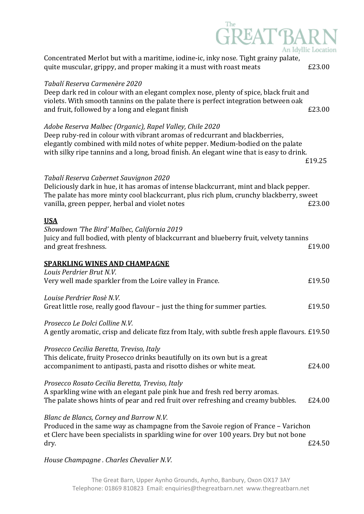| Concentrated Merlot but with a maritime, iodine-ic, inky nose. Tight grainy palate,<br>quite muscular, grippy, and proper making it a must with roast meats                                                                                                                                                            | An Idyllic Location<br>£23.00 |
|------------------------------------------------------------------------------------------------------------------------------------------------------------------------------------------------------------------------------------------------------------------------------------------------------------------------|-------------------------------|
| Tabalí Reserva Carmenère 2020<br>Deep dark red in colour with an elegant complex nose, plenty of spice, black fruit and<br>violets. With smooth tannins on the palate there is perfect integration between oak<br>and fruit, followed by a long and elegant finish                                                     | £23.00                        |
| Adobe Reserva Malbec (Organic), Rapel Valley, Chile 2020<br>Deep ruby-red in colour with vibrant aromas of redcurrant and blackberries,<br>elegantly combined with mild notes of white pepper. Medium-bodied on the palate<br>with silky ripe tannins and a long, broad finish. An elegant wine that is easy to drink. | £19.25                        |
| Tabalí Reserva Cabernet Sauvignon 2020<br>Deliciously dark in hue, it has aromas of intense blackcurrant, mint and black pepper.<br>The palate has more minty cool blackcurrant, plus rich plum, crunchy blackberry, sweet<br>vanilla, green pepper, herbal and violet notes                                           | £23.00                        |
| <b>USA</b><br>Showdown 'The Bird' Malbec, California 2019<br>Juicy and full bodied, with plenty of blackcurrant and blueberry fruit, velvety tannins<br>and great freshness.                                                                                                                                           | £19.00                        |
| <b>SPARKLING WINES AND CHAMPAGNE</b>                                                                                                                                                                                                                                                                                   |                               |
| Louis Perdrier Brut N.V.<br>Very well made sparkler from the Loire valley in France.                                                                                                                                                                                                                                   | £19.50                        |
| Louise Perdrier Rosè N.V.<br>Great little rose, really good flavour - just the thing for summer parties.                                                                                                                                                                                                               | £19.50                        |
| Prosecco Le Dolci Colline N.V.<br>A gently aromatic, crisp and delicate fizz from Italy, with subtle fresh apple flavours. £19.50                                                                                                                                                                                      |                               |
| Prosecco Cecilia Beretta, Treviso, Italy<br>This delicate, fruity Prosecco drinks beautifully on its own but is a great<br>accompaniment to antipasti, pasta and risotto dishes or white meat.                                                                                                                         | £24.00                        |
| Prosecco Rosato Cecilia Beretta, Treviso, Italy<br>A sparkling wine with an elegant pale pink hue and fresh red berry aromas.<br>The palate shows hints of pear and red fruit over refreshing and creamy bubbles.                                                                                                      | £24.00                        |
| Blanc de Blancs, Corney and Barrow N.V.<br>Produced in the same way as champagne from the Savoie region of France – Varichon<br>et Clerc have been specialists in sparkling wine for over 100 years. Dry but not bone<br>dry.                                                                                          | £24.50                        |
| House Champagne . Charles Chevalier N.V.                                                                                                                                                                                                                                                                               |                               |

The